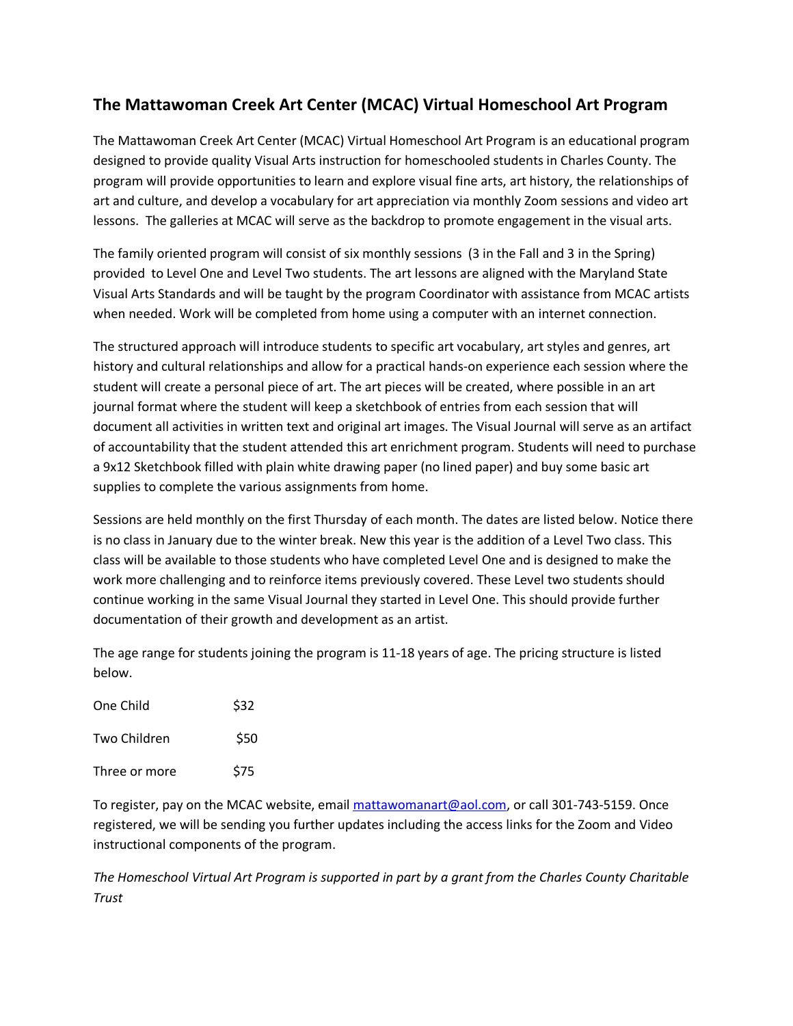## **The Mattawoman Creek Art Center (MCAC) Virtual Homeschool Art Program**

The Mattawoman Creek Art Center (MCAC) Virtual Homeschool Art Program is an educational program designed to provide quality Visual Arts instruction for homeschooled students in Charles County. The program will provide opportunities to learn and explore visual fine arts, art history, the relationships of art and culture, and develop a vocabulary for art appreciation via monthly Zoom sessions and video art lessons. The galleries at MCAC will serve as the backdrop to promote engagement in the visual arts.

The family oriented program will consist of six monthly sessions (3 in the Fall and 3 in the Spring) provided to Level One and Level Two students. The art lessons are aligned with the Maryland State Visual Arts Standards and will be taught by the program Coordinator with assistance from MCAC artists when needed. Work will be completed from home using a computer with an internet connection.

The structured approach will introduce students to specific art vocabulary, art styles and genres, art history and cultural relationships and allow for a practical hands-on experience each session where the student will create a personal piece of art. The art pieces will be created, where possible in an art journal format where the student will keep a sketchbook of entries from each session that will document all activities in written text and original art images. The Visual Journal will serve as an artifact of accountability that the student attended this art enrichment program. Students will need to purchase a 9x12 Sketchbook filled with plain white drawing paper (no lined paper) and buy some basic art supplies to complete the various assignments from home.

Sessions are held monthly on the first Thursday of each month. The dates are listed below. Notice there is no class in January due to the winter break. New this year is the addition of a Level Two class. This class will be available to those students who have completed Level One and is designed to make the work more challenging and to reinforce items previously covered. These Level two students should continue working in the same Visual Journal they started in Level One. This should provide further documentation of their growth and development as an artist.

The age range for students joining the program is 11-18 years of age. The pricing structure is listed below.

| One Child     | \$32 |
|---------------|------|
| Two Children  | \$50 |
| Three or more | \$75 |

To register, pay on the MCAC website, email [mattawomanart@aol.com,](mailto:mattawomanart@aol.com) or call 301-743-5159. Once registered, we will be sending you further updates including the access links for the Zoom and Video instructional components of the program.

*The Homeschool Virtual Art Program is supported in part by a grant from the Charles County Charitable Trust*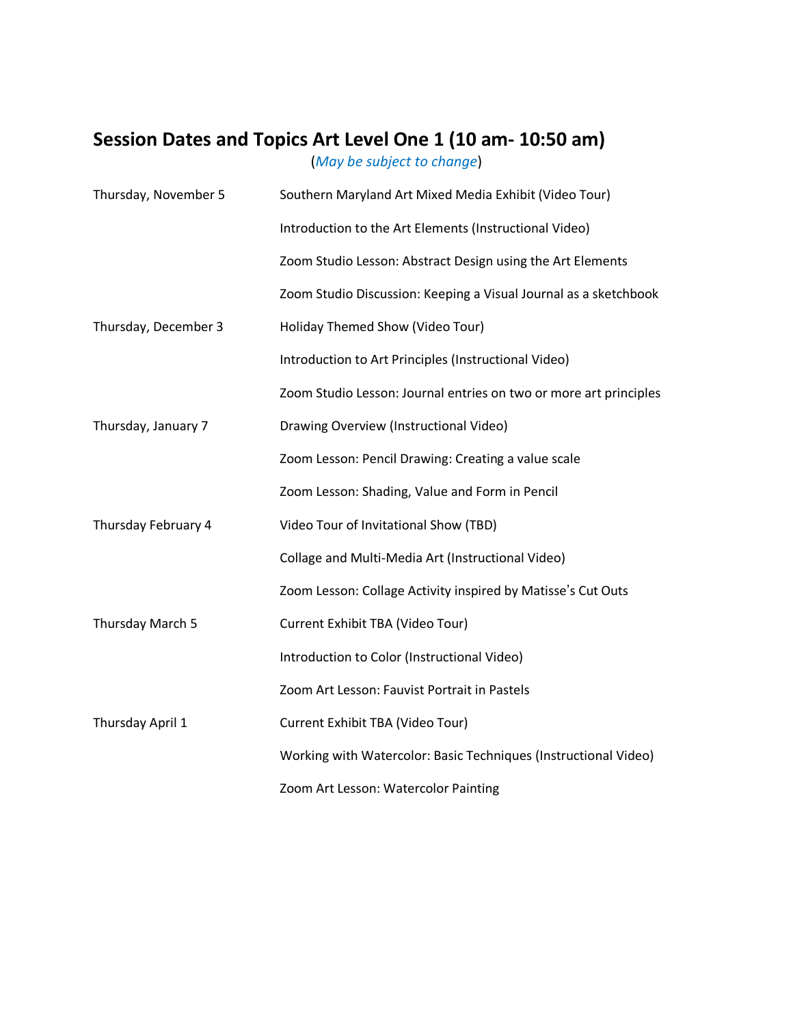## **Session Dates and Topics Art Level One 1 (10 am- 10:50 am)**

(*May be subject to change*)

| Thursday, November 5 | Southern Maryland Art Mixed Media Exhibit (Video Tour)            |
|----------------------|-------------------------------------------------------------------|
|                      | Introduction to the Art Elements (Instructional Video)            |
|                      | Zoom Studio Lesson: Abstract Design using the Art Elements        |
|                      | Zoom Studio Discussion: Keeping a Visual Journal as a sketchbook  |
| Thursday, December 3 | Holiday Themed Show (Video Tour)                                  |
|                      | Introduction to Art Principles (Instructional Video)              |
|                      | Zoom Studio Lesson: Journal entries on two or more art principles |
| Thursday, January 7  | Drawing Overview (Instructional Video)                            |
|                      | Zoom Lesson: Pencil Drawing: Creating a value scale               |
|                      | Zoom Lesson: Shading, Value and Form in Pencil                    |
| Thursday February 4  | Video Tour of Invitational Show (TBD)                             |
|                      | Collage and Multi-Media Art (Instructional Video)                 |
|                      | Zoom Lesson: Collage Activity inspired by Matisse's Cut Outs      |
| Thursday March 5     | Current Exhibit TBA (Video Tour)                                  |
|                      | Introduction to Color (Instructional Video)                       |
|                      | Zoom Art Lesson: Fauvist Portrait in Pastels                      |
| Thursday April 1     | Current Exhibit TBA (Video Tour)                                  |
|                      | Working with Watercolor: Basic Techniques (Instructional Video)   |
|                      | Zoom Art Lesson: Watercolor Painting                              |